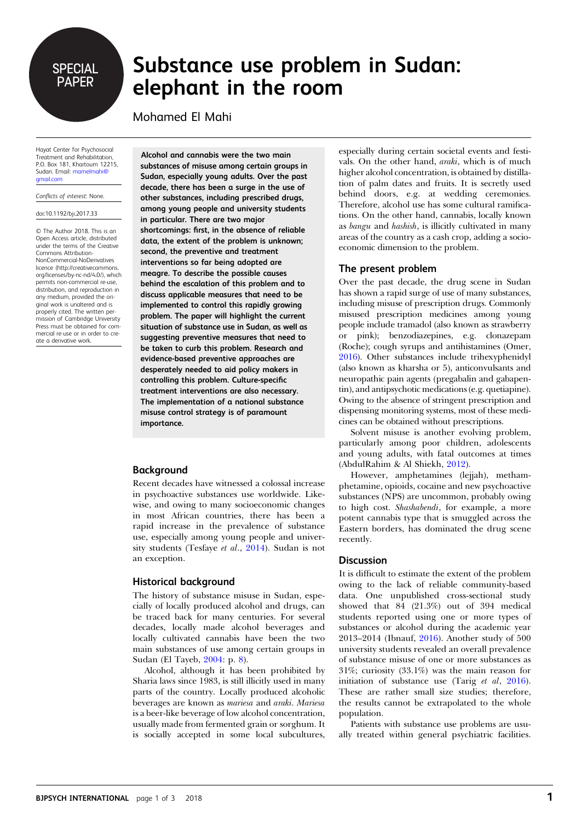

# Substance use problem in Sudan: elephant in the room

Mohamed El Mahi

Hayat Center for Psychosocial Treatment and Rehabilitation, P.O. Box 181, Khartoum 12215, Sudan. Email: [mamelmahi@](mailto:mamelmahi@gmail.com) [gmail.com](mailto:mamelmahi@gmail.com)

#### Conflicts of interest: None.

#### doi:10.1192/bji.2017.33

© The Author 2018. This is an Open Access article, distributed under the terms of the Creative Commons Attribution-NonCommercial-NoDerivatives licence (http://creativecommons. org/licenses/by-nc-nd/4.0/), which permits non-commercial re-use, distribution, and reproduction in any medium, provided the original work is unaltered and is properly cited. The written permission of Cambridge University Press must be obtained for commercial re-use or in order to create a derivative work.

Alcohol and cannabis were the two main substances of misuse among certain groups in Sudan, especially young adults. Over the past decade, there has been a surge in the use of other substances, including prescribed drugs, among young people and university students in particular. There are two major shortcomings: first, in the absence of reliable data, the extent of the problem is unknown; second, the preventive and treatment interventions so far being adopted are meagre. To describe the possible causes behind the escalation of this problem and to discuss applicable measures that need to be implemented to control this rapidly growing problem. The paper will highlight the current situation of substance use in Sudan, as well as suggesting preventive measures that need to be taken to curb this problem. Research and evidence-based preventive approaches are desperately needed to aid policy makers in controlling this problem. Culture-specific treatment interventions are also necessary. The implementation of a national substance misuse control strategy is of paramount importance.

# Background

Recent decades have witnessed a colossal increase in psychoactive substances use worldwide. Likewise, and owing to many socioeconomic changes in most African countries, there has been a rapid increase in the prevalence of substance use, especially among young people and university students (Tesfaye et al., [2014\)](#page-2-0). Sudan is not an exception.

## Historical background

The history of substance misuse in Sudan, especially of locally produced alcohol and drugs, can be traced back for many centuries. For several decades, locally made alcohol beverages and locally cultivated cannabis have been the two main substances of use among certain groups in Sudan (El Tayeb, [2004](#page-2-0): p. [8](#page-2-0)).

Alcohol, although it has been prohibited by Sharia laws since 1983, is still illicitly used in many parts of the country. Locally produced alcoholic beverages are known as mariesa and araki. Mariesa is a beer-like beverage of low alcohol concentration, usually made from fermented grain or sorghum. It is socially accepted in some local subcultures,

especially during certain societal events and festivals. On the other hand, araki, which is of much higher alcohol concentration, is obtained by distillation of palm dates and fruits. It is secretly used behind doors, e.g. at wedding ceremonies. Therefore, alcohol use has some cultural ramifications. On the other hand, cannabis, locally known as bangu and hashish, is illicitly cultivated in many areas of the country as a cash crop, adding a socioeconomic dimension to the problem.

## The present problem

Over the past decade, the drug scene in Sudan has shown a rapid surge of use of many substances, including misuse of prescription drugs. Commonly misused prescription medicines among young people include tramadol (also known as strawberry or pink); benzodiazepines, e.g. clonazepam (Roche); cough syrups and antihistamines (Omer, [2016](#page-2-0)). Other substances include trihexyphenidyl (also known as kharsha or 5), anticonvulsants and neuropathic pain agents (pregabalin and gabapentin), and antipsychotic medications (e.g. quetiapine). Owing to the absence of stringent prescription and dispensing monitoring systems, most of these medicines can be obtained without prescriptions.

Solvent misuse is another evolving problem, particularly among poor children, adolescents and young adults, with fatal outcomes at times (AbdulRahim & Al Shiekh, [2012](#page-2-0)).

However, amphetamines (lejjah), methamphetamine, opioids, cocaine and new psychoactive substances (NPS) are uncommon, probably owing to high cost. Shashabendi, for example, a more potent cannabis type that is smuggled across the Eastern borders, has dominated the drug scene recently.

## **Discussion**

It is difficult to estimate the extent of the problem owing to the lack of reliable community-based data. One unpublished cross-sectional study showed that 84 (21.3%) out of 394 medical students reported using one or more types of substances or alcohol during the academic year 2013–2014 (Ibnauf, [2016](#page-2-0)). Another study of 500 university students revealed an overall prevalence of substance misuse of one or more substances as 31%; curiosity (33.1%) was the main reason for initiation of substance use (Tarig et al, [2016\)](#page-2-0). These are rather small size studies; therefore, the results cannot be extrapolated to the whole population.

Patients with substance use problems are usually treated within general psychiatric facilities.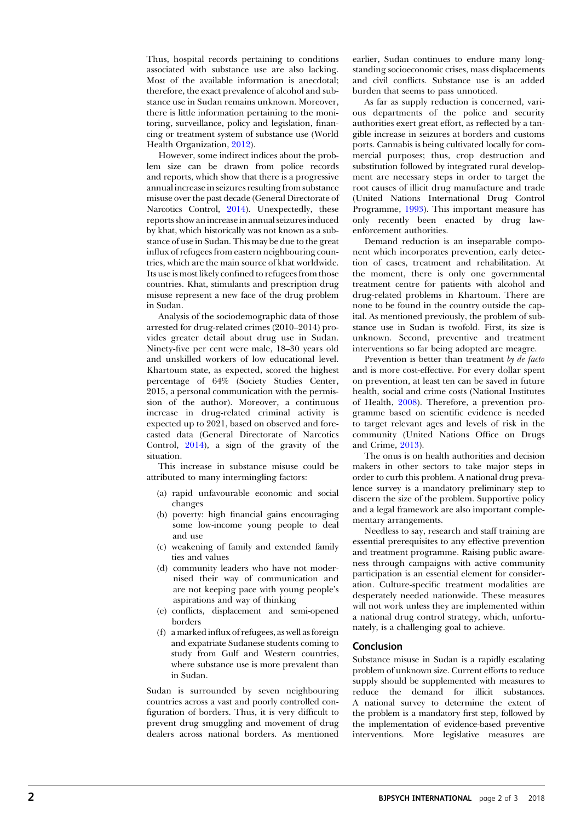Thus, hospital records pertaining to conditions associated with substance use are also lacking. Most of the available information is anecdotal; therefore, the exact prevalence of alcohol and substance use in Sudan remains unknown. Moreover, there is little information pertaining to the monitoring, surveillance, policy and legislation, financing or treatment system of substance use (World Health Organization, [2012\)](#page-2-0).

However, some indirect indices about the problem size can be drawn from police records and reports, which show that there is a progressive annual increase in seizures resulting from substance misuse over the past decade (General Directorate of Narcotics Control, [2014\)](#page-2-0). Unexpectedly, these reports show an increase in annual seizures induced by khat, which historically was not known as a substance of use in Sudan. This may be due to the great in flux of refugees from eastern neighbouring countries, which are the main source of khat worldwide. Its use is most likely con fined to refugees from those countries. Khat, stimulants and prescription drug misuse represent a new face of the drug problem in Sudan.

Analysis of the sociodemographic data of those arrested for drug-related crimes (2010 –2014) provides greater detail about drug use in Sudan. Ninety-five per cent were male, 18 –30 years old and unskilled workers of low educational level. Khartoum state, as expected, scored the highest percentage of 64% (Society Studies Center, 2015, a personal communication with the permission of the author). Moreover, a continuous increase in drug-related criminal activity is expected up to 2021, based on observed and forecasted data (General Directorate of Narcotics Control, [2014](#page-2-0)), a sign of the gravity of the situation.

This increase in substance misuse could be attributed to many intermingling factors:

- (a) rapid unfavourable economic and social changes
- (b) poverty: high financial gains encouraging some low-income young people to deal and use
- (c) weakening of family and extended family ties and values
- (d) community leaders who have not modernised their way of communication and are not keeping pace with young people ' s aspirations and way of thinking
- (e) con flicts, displacement and semi-opened borders
- (f) a marked in flux of refugees, as well as foreign and expatriate Sudanese students coming to study from Gulf and Western countries, where substance use is more prevalent than in Sudan.

Sudan is surrounded by seven neighbouring countries across a vast and poorly controlled con- figuration of borders. Thus, it is very difficult to prevent drug smuggling and movement of drug dealers across national borders. As mentioned

earlier, Sudan continues to endure many longstanding socioeconomic crises, mass displacements and civil conflicts. Substance use is an added burden that seems to pass unnoticed.

As far as supply reduction is concerned, various departments of the police and security authorities exert great effort, as re flected by a tangible increase in seizures at borders and customs ports. Cannabis is being cultivated locally for commercial purposes; thus, crop destruction and substitution followed by integrated rural development are necessary steps in order to target the root causes of illicit drug manufacture and trade (United Nations International Drug Control Programme, [1993](#page-2-0)). This important measure has only recently been enacted by drug lawenforcement authorities.

Demand reduction is an inseparable component which incorporates prevention, early detection of cases, treatment and rehabilitation. At the moment, there is only one governmental treatment centre for patients with alcohol and drug-related problems in Khartoum. There are none to be found in the country outside the capital. As mentioned previously, the problem of substance use in Sudan is twofold. First, its size is unknown. Second, preventive and treatment interventions so far being adopted are meagre.

Prevention is better than treatment by de facto and is more cost-effective. For every dollar spent on prevention, at least ten can be saved in future health, social and crime costs (National Institutes of Health, [2008\)](#page-2-0). Therefore, a prevention programme based on scientific evidence is needed to target relevant ages and levels of risk in the community (United Nations Office on Drugs and Crime, [2013\)](#page-2-0).

The onus is on health authorities and decision makers in other sectors to take major steps in order to curb this problem. A national drug prevalence survey is a mandatory preliminary step to discern the size of the problem. Supportive policy and a legal framework are also important complementary arrangements.

Needless to say, research and staff training are essential prerequisites to any effective prevention and treatment programme. Raising public awareness through campaigns with active community participation is an essential element for consideration. Culture-specific treatment modalities are desperately needed nationwide. These measures will not work unless they are implemented within a national drug control strategy, which, unfortunately, is a challenging goal to achieve.

## Conclusion

Substance misuse in Sudan is a rapidly escalating problem of unknown size. Current efforts to reduce supply should be supplemented with measures to reduce the demand for illicit substances. A national survey to determine the extent of the problem is a mandatory first step, followed by the implementation of evidence-based preventive interventions. More legislative measures are